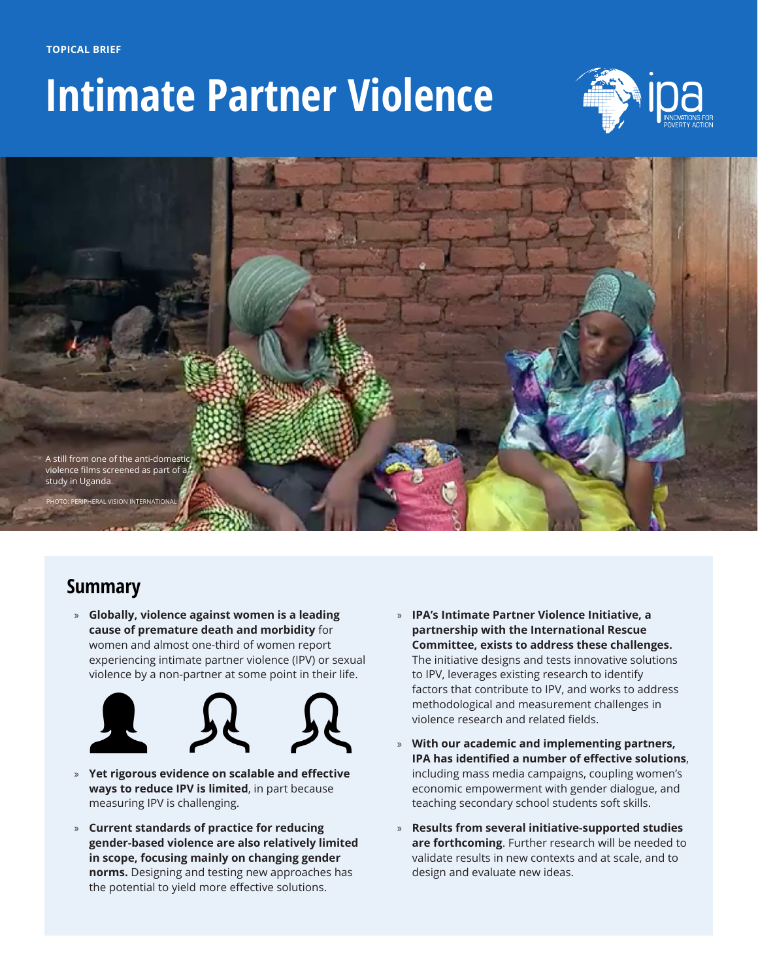

# **Intimate Partner Violence**





### **Summary**

» **Globally, violence against women is a leading cause of premature death and morbidity** for women and almost one-third of women report experiencing intimate partner violence (IPV) or sexual violence by a non-partner at some point in their life.



- » **Yet rigorous evidence on scalable and effective ways to reduce IPV is limited**, in part because measuring IPV is challenging.
- » **Current standards of practice for reducing gender-based violence are also relatively limited in scope, focusing mainly on changing gender norms.** Designing and testing new approaches has the potential to yield more effective solutions.
- » **IPA's Intimate Partner Violence Initiative, a partnership with the International Rescue Committee, exists to address these challenges.**  The initiative designs and tests innovative solutions to IPV, leverages existing research to identify factors that contribute to IPV, and works to address methodological and measurement challenges in violence research and related fields.
- » **With our academic and implementing partners, IPA has identified a number of effective solutions**, including mass media campaigns, coupling women's economic empowerment with gender dialogue, and teaching secondary school students soft skills.
- » **Results from several initiative-supported studies are forthcoming**. Further research will be needed to validate results in new contexts and at scale, and to design and evaluate new ideas.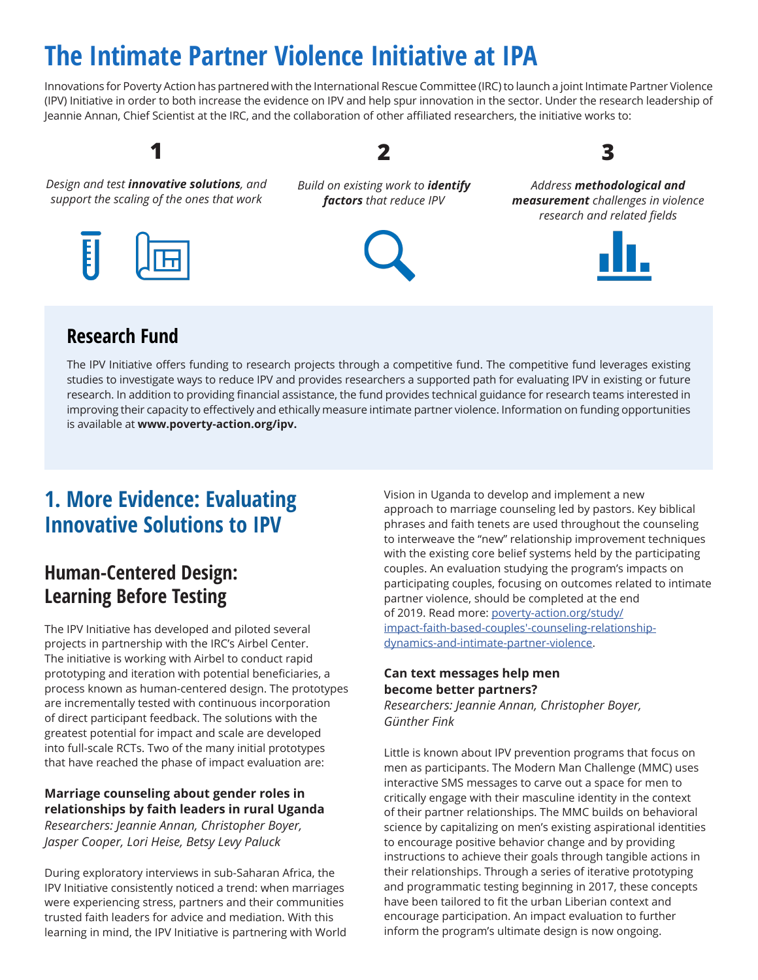## **The Intimate Partner Violence Initiative at IPA**

Innovations for Poverty Action has partnered with the International Rescue Committee (IRC) to launch a joint Intimate Partner Violence (IPV) Initiative in order to both increase the evidence on IPV and help spur innovation in the sector. Under the research leadership of Jeannie Annan, Chief Scientist at the IRC, and the collaboration of other affiliated researchers, the initiative works to:

*Design and test innovative solutions, and support the scaling of the ones that work*

**1**

*Build on existing work to identify factors that reduce IPV*

**2**



*Address methodological and measurement challenges in violence research and related fields*

**3**



### **Research Fund**

E

The IPV Initiative offers funding to research projects through a competitive fund. The competitive fund leverages existing studies to investigate ways to reduce IPV and provides researchers a supported path for evaluating IPV in existing or future research. In addition to providing financial assistance, the fund provides technical guidance for research teams interested in improving their capacity to effectively and ethically measure intimate partner violence. Information on funding opportunities is available at **[www.poverty-action.org/ipv](https://www.poverty-action.org/ipv).**

### **1. More Evidence: Evaluating Innovative Solutions to IPV**

### **Human-Centered Design: Learning Before Testing**

The IPV Initiative has developed and piloted several projects in partnership with the IRC's Airbel Center. The initiative is working with Airbel to conduct rapid prototyping and iteration with potential beneficiaries, a process known as human-centered design. The prototypes are incrementally tested with continuous incorporation of direct participant feedback. The solutions with the greatest potential for impact and scale are developed into full-scale RCTs. Two of the many initial prototypes that have reached the phase of impact evaluation are:

#### **Marriage counseling about gender roles in relationships by faith leaders in rural Uganda** *Researchers: Jeannie Annan, Christopher Boyer,*

*Jasper Cooper, Lori Heise, Betsy Levy Paluck*

During exploratory interviews in sub-Saharan Africa, the IPV Initiative consistently noticed a trend: when marriages were experiencing stress, partners and their communities trusted faith leaders for advice and mediation. With this learning in mind, the IPV Initiative is partnering with World Vision in Uganda to develop and implement a new approach to marriage counseling led by pastors. Key biblical phrases and faith tenets are used throughout the counseling to interweave the "new" relationship improvement techniques with the existing core belief systems held by the participating couples. An evaluation studying the program's impacts on participating couples, focusing on outcomes related to intimate partner violence, should be completed at the end of 2019. Read more: [poverty-action.org/study/](https://www.poverty-action.org/study/impact-faith-based-couples%E2%80%99-counseling-relationship-dynamics-and-intimate-partner-violence) [impact-faith-based-couples'-counseling-relationship](https://www.poverty-action.org/study/impact-faith-based-couples%E2%80%99-counseling-relationship-dynamics-and-intimate-partner-violence)[dynamics-and-intimate-partner-violence.](https://www.poverty-action.org/study/impact-faith-based-couples%E2%80%99-counseling-relationship-dynamics-and-intimate-partner-violence)

#### **Can text messages help men become better partners?**

*Researchers: Jeannie Annan, Christopher Boyer, Günther Fink*

Little is known about IPV prevention programs that focus on men as participants. The Modern Man Challenge (MMC) uses interactive SMS messages to carve out a space for men to critically engage with their masculine identity in the context of their partner relationships. The MMC builds on behavioral science by capitalizing on men's existing aspirational identities to encourage positive behavior change and by providing instructions to achieve their goals through tangible actions in their relationships. Through a series of iterative prototyping and programmatic testing beginning in 2017, these concepts have been tailored to fit the urban Liberian context and encourage participation. An impact evaluation to further inform the program's ultimate design is now ongoing.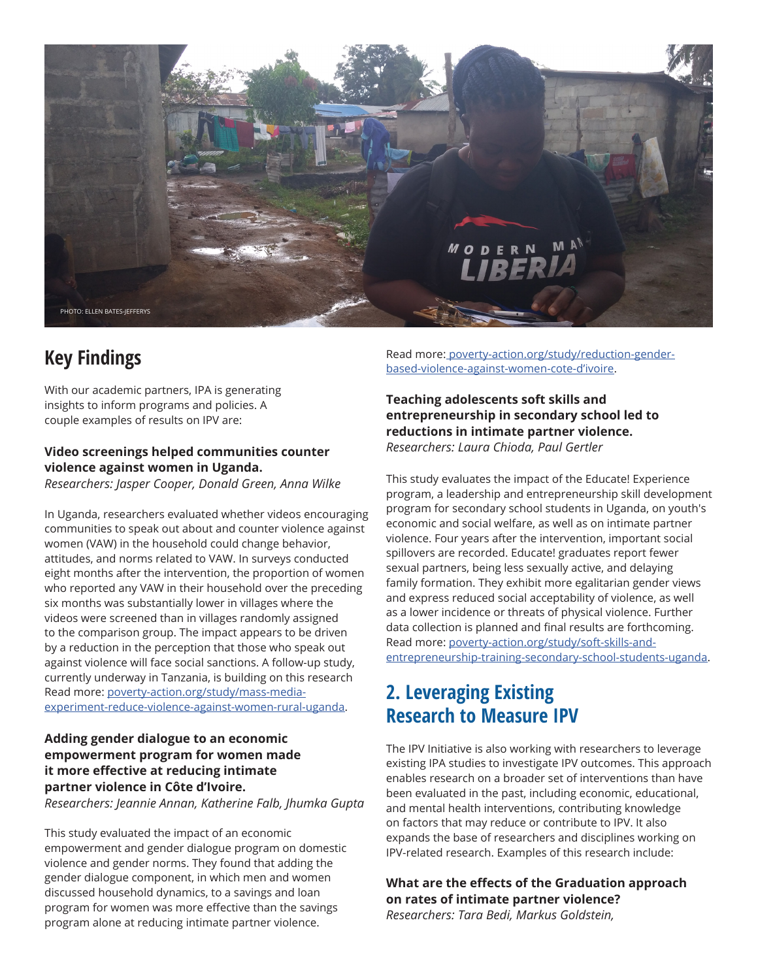

### **Key Findings**

With our academic partners, IPA is generating insights to inform programs and policies. A couple examples of results on IPV are:

#### **Video screenings helped communities counter violence against women in Uganda.**

*Researchers: Jasper Cooper, Donald Green, Anna Wilke*

In Uganda, researchers evaluated whether videos encouraging communities to speak out about and counter violence against women (VAW) in the household could change behavior, attitudes, and norms related to VAW. In surveys conducted eight months after the intervention, the proportion of women who reported any VAW in their household over the preceding six months was substantially lower in villages where the videos were screened than in villages randomly assigned to the comparison group. The impact appears to be driven by a reduction in the perception that those who speak out against violence will face social sanctions. A follow-up study, currently underway in Tanzania, is building on this research Read more: [poverty-action.org/study/mass-media](https://www.poverty-action.org/study/mass-media-experiment-reduce-violence-against-women-rural-uganda)[experiment-reduce-violence-against-women-rural-uganda.](https://www.poverty-action.org/study/mass-media-experiment-reduce-violence-against-women-rural-uganda)

### **Adding gender dialogue to an economic empowerment program for women made it more effective at reducing intimate partner violence in Côte d'Ivoire.**

*Researchers: Jeannie Annan, Katherine Falb, Jhumka Gupta*

This study evaluated the impact of an economic empowerment and gender dialogue program on domestic violence and gender norms. They found that adding the gender dialogue component, in which men and women discussed household dynamics, to a savings and loan program for women was more effective than the savings program alone at reducing intimate partner violence.

Read more[: poverty-action.org/study/reduction-gender](https://www.poverty-action.org/study/reduction-gender-based-violence-against-women-cote-d%E2%80%99ivoire)[based-violence-against-women-cote-d'ivoire](https://www.poverty-action.org/study/reduction-gender-based-violence-against-women-cote-d%E2%80%99ivoire).

#### **Teaching adolescents soft skills and entrepreneurship in secondary school led to reductions in intimate partner violence.** *Researchers: Laura Chioda, Paul Gertler*

This study evaluates the impact of the Educate! Experience program, a leadership and entrepreneurship skill development program for secondary school students in Uganda, on youth's economic and social welfare, as well as on intimate partner violence. Four years after the intervention, important social spillovers are recorded. Educate! graduates report fewer sexual partners, being less sexually active, and delaying family formation. They exhibit more egalitarian gender views and express reduced social acceptability of violence, as well as a lower incidence or threats of physical violence. Further data collection is planned and final results are forthcoming. Read more: [poverty-action.org/study/soft-skills-and](https://www.poverty-action.org/study/soft-skills-and-entrepreneurship-training-secondary-school-students-uganda)[entrepreneurship-training-secondary-school-students-uganda.](https://www.poverty-action.org/study/soft-skills-and-entrepreneurship-training-secondary-school-students-uganda)

### **2. Leveraging Existing Research to Measure IPV**

The IPV Initiative is also working with researchers to leverage existing IPA studies to investigate IPV outcomes. This approach enables research on a broader set of interventions than have been evaluated in the past, including economic, educational, and mental health interventions, contributing knowledge on factors that may reduce or contribute to IPV. It also expands the base of researchers and disciplines working on IPV-related research. Examples of this research include:

**What are the effects of the Graduation approach on rates of intimate partner violence?**

*Researchers: Tara Bedi, Markus Goldstein,*